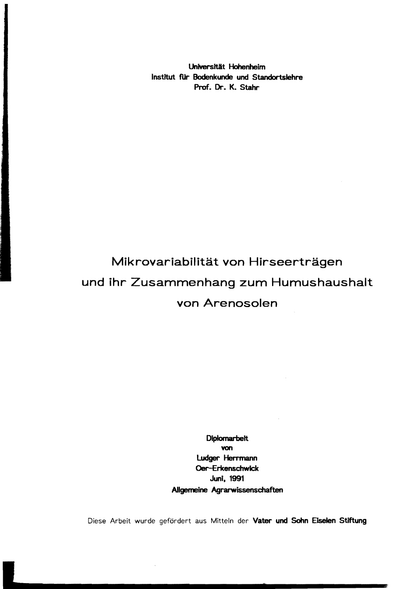Universität Hohenheim Institut fUr Bodenkunde und Standortslehre Prof. Dr. K. Stahr

## Mikrovariabilität von Hirseerträgen und ihr Zusammenhang zum Humushaushalt von Arenosoien

**Diplomarbeit** von ludger Herrmann Oer-Erkenschwick Juni, 1991 Allgemeine Agrarwissenschaften

Diese Arbeit wurde gefördert aus Mitteln der Vater und Sohn Eiselen Stiftung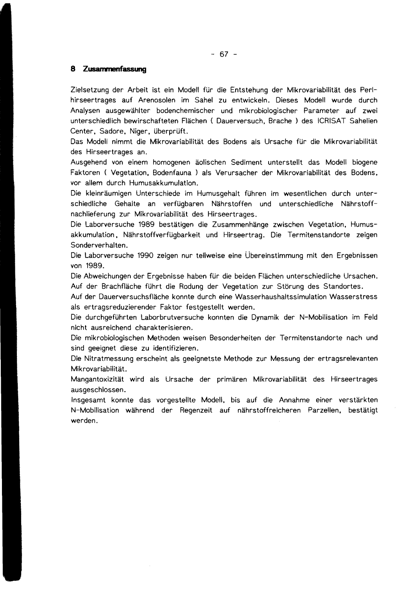$- 67 -$ 

## **8 Zusarrwnenfasstmg**

Zielsetzung der Arbeit ist ein Modell für die Entstehung der Mikrovariabilität des Perl hirseertrages auf Arenosoien im Sahel zu entwickeln. Dieses Modell wurde durch Analysen ausgewählter bodenchemischer und mikrobiologischer Parameter auf zwei unterschiedlich bewirschafteten Flächen ( Dauerversuch, Brache) des ICRISAT Sahelien Center, Sadore, Niger, überprüft.

Das Modell nimmt die Mikrovariabilität des Bodens als Ursache für die Mikrovariabilität des Hirseertrages an.

Ausgehend von einem homogenen äolischen Sediment unterstellt das Modell biogene Faktoren ( Vegetation. Bodenfauna ) als Verursacher der Mikrovariabilität des Bodens, vor allem durch Humusakkumulation.

Oie kleinräumigen Unterschiede im Humusgehalt führen im wesentlichen durch unter schiedliche Gehalte an verfügbaren Nährstoffen und unterschiedliche Nährstoff nachlieferung zur Mikrovariabilität des Hirseertrages.

Oie Laborversuche 1989 bestätigen die Zusammenhänge zwischen Vegetation, Humus akkumulation , Nährstoffverfügbarkeit und Hirseertrag. Oie Termitenstandorte zeigen Sonderverhalten.

Oie Laborversuche 1990 zeigen nur teilweise eine Übereinstimmung mit den Ergebnissen von 1989.

Oie Abweichungen der Ergebnisse haben für die beiden Flächen unterschiedliche Ursachen. Auf der Brachfläche führt die Rodung der Vegetation zur Störung des Standortes.

Auf der Dauerversuchsfläche konnte durch eine Wasserhaushaltssimulation Wasserstress als ertragsreduzierender Faktor festgestellt werden.

Oie durchgeführten Laborbrutversuche konnten die Dynamik der N-Mobilisation im Feld nicht ausreichend charakterisieren.

Oie mikrobiologischen Methoden weisen Besonderheiten der Termitenstandorte nach und sind geeignet diese zu identifizieren.

Oie Nitratmessung erscheint als geeignetste Methode zur Messung der ertragsrelevanten Mikrovariabilität.

Mangantoxizität wird als Ursache der primären Mikrovariabilität des Hirseertrages ausgeschlossen.

Insgesamt konnte das vorgestellte Modell, bis auf die Annahme einer verstärkten N-Mobilisation während der Regenzeit auf nährstoffreicheren Parzellen, bestätigt werden.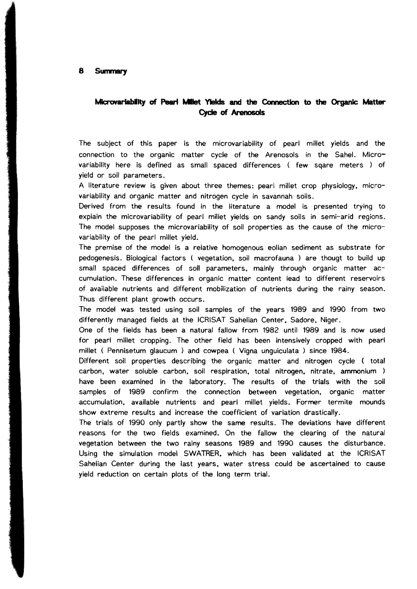## **MIcrovarIabItty of PearI MIlet. YIeIds and the** Connection to **the Organlc Matter**  CycIe **of AranosoIs**

The subject of this paper is the microvariability of pearl millet yields and the connection to the organic matter cycle of the Arenosols in the Sahei. Micro variability here is defined as small spaced differences ( few sqare meters ) of yield or soil parameters.

A literature review is given about three themes: pearl millet crop physiology, microvariability and organic matter and nitrogen cycle in savannah soils.

Derived from the results found in the literature a model is presented trying to explain the microvariability of pearl millet yields on sandy soils in semi-arid regions. The model supposes the microvariability of soil properties as the cause of the micro variability of the pearl millet yield.

The premise of the model is a relative homogenous eolian sediment as substrate for pedogenesis. Biological factors ( vegetation. soil macrofauna ) are thougt to build up small spaced differences of soil parameters. mainly through organic matter ac cumulation. These differences in organic matter content lead to different reservoirs of available nutrients and different mobilization of nutrients during the rainy season. Thus different plant growth occurs.

The model was tested using soil sampies of the years 1989 and 1990 from two differently managed fields at the ICRISAT Sahelian Center, Sadore, Niger.

One of the fjelds has been a natural fallow from 1982 until 1989 and is now used for pearl millet cropping. The other field has been intensively cropped with pearl millet ( Pennisetum glaucum ) and cowpea ( Vigna unguiculata ) since 1984.

Different soil properties describing the organic matter and nitrogen cycle ( total carbon. water soluble carbon. soil respiration. total nitrogen. nitrate. ammonium ) have been examined in the laboratory. The results of the trials with the soil sampies of 1989 confirm the connection between vegetation. organic matter accumulation. available nutrients and pearl millet yields. Former termite mounds show extreme results and increase the coefficient of variation drastically.

The trials of 1990 only partly show the same results. The deviations have different reasons for the two fields examined. On the fallow the clearing of the natural vegetation between the two rainy seasons 1989 and 1990 causes the disturbance. Using the simulation model SWATRER. which has been validated at the ICRISAT Sahelian Center during the last years. water stress could be ascertained to cause yield reduction on certain plots of the long term trial.